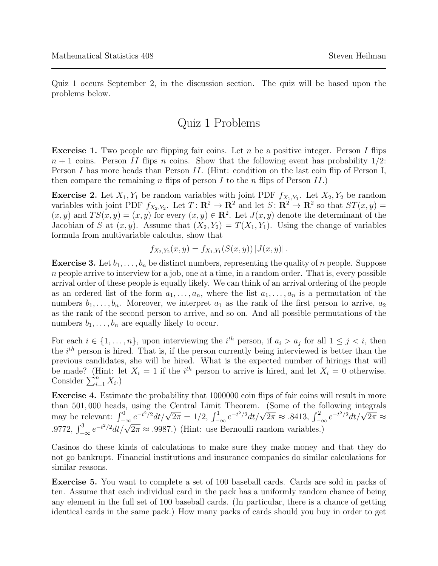Quiz 1 occurs September 2, in the discussion section. The quiz will be based upon the problems below.

## Quiz 1 Problems

**Exercise 1.** Two people are flipping fair coins. Let n be a positive integer. Person I flips  $n + 1$  coins. Person II flips n coins. Show that the following event has probability  $1/2$ : Person I has more heads than Person II. (Hint: condition on the last coin flip of Person I, then compare the remaining n flips of person I to the n flips of Person II.

**Exercise 2.** Let  $X_1, Y_1$  be random variables with joint PDF  $f_{X_1,Y_1}$ . Let  $X_2, Y_2$  be random variables with joint PDF  $f_{X_2,Y_2}$ . Let  $T: \mathbb{R}^2 \to \mathbb{R}^2$  and let  $S: \mathbb{R}^2 \to \mathbb{R}^2$  so that  $ST(x, y) =$  $(x, y)$  and  $TS(x, y) = (x, y)$  for every  $(x, y) \in \mathbb{R}^2$ . Let  $J(x, y)$  denote the determinant of the Jacobian of S at  $(x, y)$ . Assume that  $(X_2, Y_2) = T(X_1, Y_1)$ . Using the change of variables formula from multivariable calculus, show that

$$
f_{X_2,Y_2}(x,y) = f_{X_1,Y_1}(S(x,y)) |J(x,y)|.
$$

**Exercise 3.** Let  $b_1, \ldots, b_n$  be distinct numbers, representing the quality of n people. Suppose  $n$  people arrive to interview for a job, one at a time, in a random order. That is, every possible arrival order of these people is equally likely. We can think of an arrival ordering of the people as an ordered list of the form  $a_1, \ldots, a_n$ , where the list  $a_1, \ldots, a_n$  is a permutation of the numbers  $b_1, \ldots, b_n$ . Moreover, we interpret  $a_1$  as the rank of the first person to arrive,  $a_2$ as the rank of the second person to arrive, and so on. And all possible permutations of the numbers  $b_1, \ldots, b_n$  are equally likely to occur.

For each  $i \in \{1, \ldots, n\}$ , upon interviewing the  $i^{th}$  person, if  $a_i > a_j$  for all  $1 \leq j < i$ , then the  $i^{th}$  person is hired. That is, if the person currently being interviewed is better than the previous candidates, she will be hired. What is the expected number of hirings that will be made? (Hint: let  $X_i = 1$  if the  $i<sup>th</sup>$  person to arrive is hired, and let  $X_i = 0$  otherwise. Consider  $\sum_{i=1}^{n} X_i$ .)

Exercise 4. Estimate the probability that 1000000 coin flips of fair coins will result in more than 501, 000 heads, using the Central Limit Theorem. (Some of the following integrals than 501,000 heads, using the Central Ellinit Theorem. (Some of the following integrals<br>may be relevant:  $\int_{-\infty}^{0} e^{-t^2/2} dt/\sqrt{2\pi} = 1/2$ ,  $\int_{-\infty}^{1} e^{-t^2/2} dt/\sqrt{2\pi} \approx .8413$ ,  $\int_{-\infty}^{2} e^{-t^2/2} dt/\sqrt{2\pi} \approx$ .9772,  $\int_{-\infty}^{3} e^{-t^2/2} dt / \sqrt{2\pi} \approx .9987$ .) (Hint: use Bernoulli random variables.)

Casinos do these kinds of calculations to make sure they make money and that they do not go bankrupt. Financial institutions and insurance companies do similar calculations for similar reasons.

Exercise 5. You want to complete a set of 100 baseball cards. Cards are sold in packs of ten. Assume that each individual card in the pack has a uniformly random chance of being any element in the full set of 100 baseball cards. (In particular, there is a chance of getting identical cards in the same pack.) How many packs of cards should you buy in order to get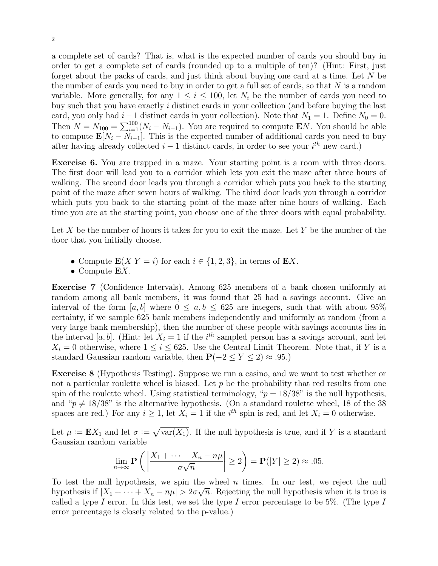a complete set of cards? That is, what is the expected number of cards you should buy in order to get a complete set of cards (rounded up to a multiple of ten)? (Hint: First, just forget about the packs of cards, and just think about buying one card at a time. Let N be the number of cards you need to buy in order to get a full set of cards, so that  $N$  is a random variable. More generally, for any  $1 \leq i \leq 100$ , let  $N_i$  be the number of cards you need to buy such that you have exactly i distinct cards in your collection (and before buying the last card, you only had  $i-1$  distinct cards in your collection). Note that  $N_1 = 1$ . Define  $N_0 = 0$ . Then  $N = N_{100} = \sum_{i=1}^{100} (N_i - N_{i-1})$ . You are required to compute EN. You should be able to compute  $\mathbf{E}[N_i - N_{i-1}]$ . This is the expected number of additional cards you need to buy after having already collected  $i-1$  distinct cards, in order to see your  $i^{th}$  new card.)

Exercise 6. You are trapped in a maze. Your starting point is a room with three doors. The first door will lead you to a corridor which lets you exit the maze after three hours of walking. The second door leads you through a corridor which puts you back to the starting point of the maze after seven hours of walking. The third door leads you through a corridor which puts you back to the starting point of the maze after nine hours of walking. Each time you are at the starting point, you choose one of the three doors with equal probability.

Let X be the number of hours it takes for you to exit the maze. Let Y be the number of the door that you initially choose.

- Compute  $\mathbf{E}(X|Y=i)$  for each  $i \in \{1,2,3\}$ , in terms of  $\mathbf{E}X$ .
- Compute  $EX$ .

Exercise 7 (Confidence Intervals). Among 625 members of a bank chosen uniformly at random among all bank members, it was found that 25 had a savings account. Give an interval of the form  $[a, b]$  where  $0 \leq a, b \leq 625$  are integers, such that with about 95% certainty, if we sample 625 bank members independently and uniformly at random (from a very large bank membership), then the number of these people with savings accounts lies in the interval [a, b]. (Hint: let  $X_i = 1$  if the i<sup>th</sup> sampled person has a savings account, and let  $X_i = 0$  otherwise, where  $1 \leq i \leq 625$ . Use the Central Limit Theorem. Note that, if Y is a standard Gaussian random variable, then  $P(-2 \le Y \le 2) \approx .95$ .)

Exercise 8 (Hypothesis Testing). Suppose we run a casino, and we want to test whether or not a particular roulette wheel is biased. Let  $p$  be the probability that red results from one spin of the roulette wheel. Using statistical terminology, " $p = 18/38$ " is the null hypothesis, and " $p \neq 18/38$ " is the alternative hypothesis. (On a standard roulette wheel, 18 of the 38 spaces are red.) For any  $i \geq 1$ , let  $X_i = 1$  if the  $i^{th}$  spin is red, and let  $X_i = 0$  otherwise.

Let  $\mu := \mathbf{E} X_1$  and let  $\sigma := \sqrt{\text{var}(X_1)}$ . If the null hypothesis is true, and if Y is a standard Gaussian random variable

$$
\lim_{n \to \infty} \mathbf{P}\left(\left|\frac{X_1 + \dots + X_n - n\mu}{\sigma\sqrt{n}}\right| \ge 2\right) = \mathbf{P}(|Y| \ge 2) \approx .05.
$$

To test the null hypothesis, we spin the wheel *n* times. In our test, we reject the null hypothesis if  $|X_1 + \cdots + X_n - n\mu| > 2\sigma\sqrt{n}$ . Rejecting the null hypothesis when it is true is called a type I error. In this test, we set the type I error percentage to be 5%. (The type I error percentage is closely related to the p-value.)